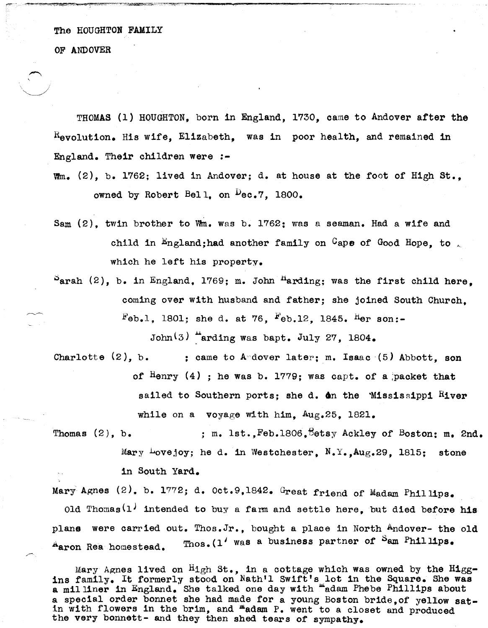The HOUGHTON FAMILY

OF ANDOVER

THOMAS (1) HOUGHTON, born in England, 1730, came to Andover after the  $R_{\text{evolution}}$ . His wife, Elizabeth, was in poor health, and remained in England. Their children were :-

- wm. (2), b. 1762; lived in Andover; d. at house at the foot of High St., owned by Robert Bell, on  $\mu$ ec.7, 1800.
- Sam (2), twin brother to wm. was b. 1762; was a seaman. Had a wife and child in  $\text{England}$ ;had another family on  $\text{Gap}$  of Good Hope, to  $\mathcal{L}$ which he left his property.
- $P<sub>arah</sub>$  (2), b. in England. 1769; m. John  $<sup>H</sup>arding$ ; was the first child here.</sup> coming over with husband and father; she joined South Church,  $Feb.1$ , 1801; she d. at 76,  $Feb.12$ , 1845. Her son:-

John $(3)$  "arding was bapt. July 27, 1804.

- Charlotte  $(2)$ , b. ; came to Andover later; m. Isaac  $(5)$  Abbott, son of  $\text{H}$ enry (4) ; he was b. 1779; was capt. of a packet that sailed to Southern ports; she d.  $\Delta n$  the `Mississippi Hiver while on a voyage with him. Aug.25, 1821.
- Thomas  $(2)$ , b. ; m. lst., Feb.1806, Eetsy Ackley of Boston: m. 2nd. Mary Lovejoy; he d. in Westchester,  $N.Y., Aug.29, 1815;$  stone in South Yard.

Mary Agnes (2), b. 1772; d. Oct.9,1842. Great friend of Madam Phillips. old Thomas<sup>(1)</sup> intended to buy a farm and settle here, but died before his plane were carried out. Thos.Jr., bought a place in North Andover- the old  $A_{\text{aron }Real homested.}$  Thos. (1' was a business partner of Sam Phillips.

Mary Agnes lived on  $High St.,$  in a cottage which was owned by the  $H1gg$ ins family. It formerly stood on Nath'l Swift's lot in the Square. She was a milliner in England. She talked one day with "adam Phebe Phillips about a special order bonnet she had made for a young Boston bride,of yellow satin with flowers in the brim, and  $^{\text{m}}$  adam P. went to a closet and produced the very bonnett- and they then shed tears of sympathy.